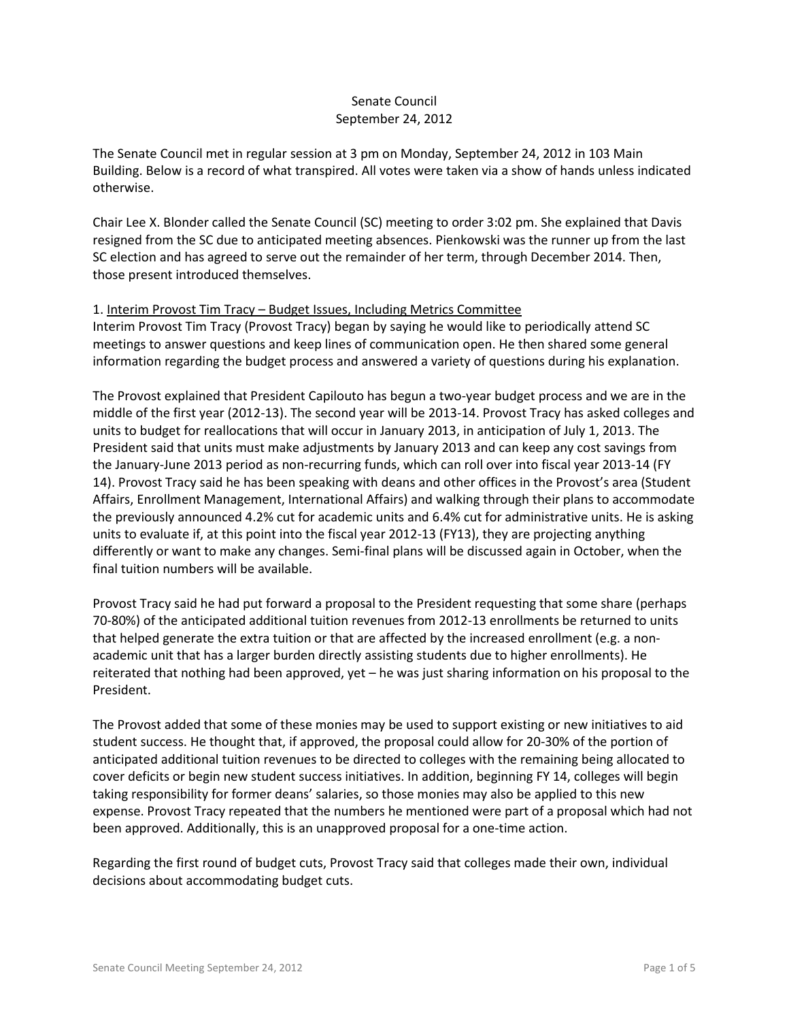# Senate Council September 24, 2012

The Senate Council met in regular session at 3 pm on Monday, September 24, 2012 in 103 Main Building. Below is a record of what transpired. All votes were taken via a show of hands unless indicated otherwise.

Chair Lee X. Blonder called the Senate Council (SC) meeting to order 3:02 pm. She explained that Davis resigned from the SC due to anticipated meeting absences. Pienkowski was the runner up from the last SC election and has agreed to serve out the remainder of her term, through December 2014. Then, those present introduced themselves.

#### 1. Interim Provost Tim Tracy – Budget Issues, Including Metrics Committee

Interim Provost Tim Tracy (Provost Tracy) began by saying he would like to periodically attend SC meetings to answer questions and keep lines of communication open. He then shared some general information regarding the budget process and answered a variety of questions during his explanation.

The Provost explained that President Capilouto has begun a two-year budget process and we are in the middle of the first year (2012-13). The second year will be 2013-14. Provost Tracy has asked colleges and units to budget for reallocations that will occur in January 2013, in anticipation of July 1, 2013. The President said that units must make adjustments by January 2013 and can keep any cost savings from the January-June 2013 period as non-recurring funds, which can roll over into fiscal year 2013-14 (FY 14). Provost Tracy said he has been speaking with deans and other offices in the Provost's area (Student Affairs, Enrollment Management, International Affairs) and walking through their plans to accommodate the previously announced 4.2% cut for academic units and 6.4% cut for administrative units. He is asking units to evaluate if, at this point into the fiscal year 2012-13 (FY13), they are projecting anything differently or want to make any changes. Semi-final plans will be discussed again in October, when the final tuition numbers will be available.

Provost Tracy said he had put forward a proposal to the President requesting that some share (perhaps 70-80%) of the anticipated additional tuition revenues from 2012-13 enrollments be returned to units that helped generate the extra tuition or that are affected by the increased enrollment (e.g. a nonacademic unit that has a larger burden directly assisting students due to higher enrollments). He reiterated that nothing had been approved, yet – he was just sharing information on his proposal to the President.

The Provost added that some of these monies may be used to support existing or new initiatives to aid student success. He thought that, if approved, the proposal could allow for 20-30% of the portion of anticipated additional tuition revenues to be directed to colleges with the remaining being allocated to cover deficits or begin new student success initiatives. In addition, beginning FY 14, colleges will begin taking responsibility for former deans' salaries, so those monies may also be applied to this new expense. Provost Tracy repeated that the numbers he mentioned were part of a proposal which had not been approved. Additionally, this is an unapproved proposal for a one-time action.

Regarding the first round of budget cuts, Provost Tracy said that colleges made their own, individual decisions about accommodating budget cuts.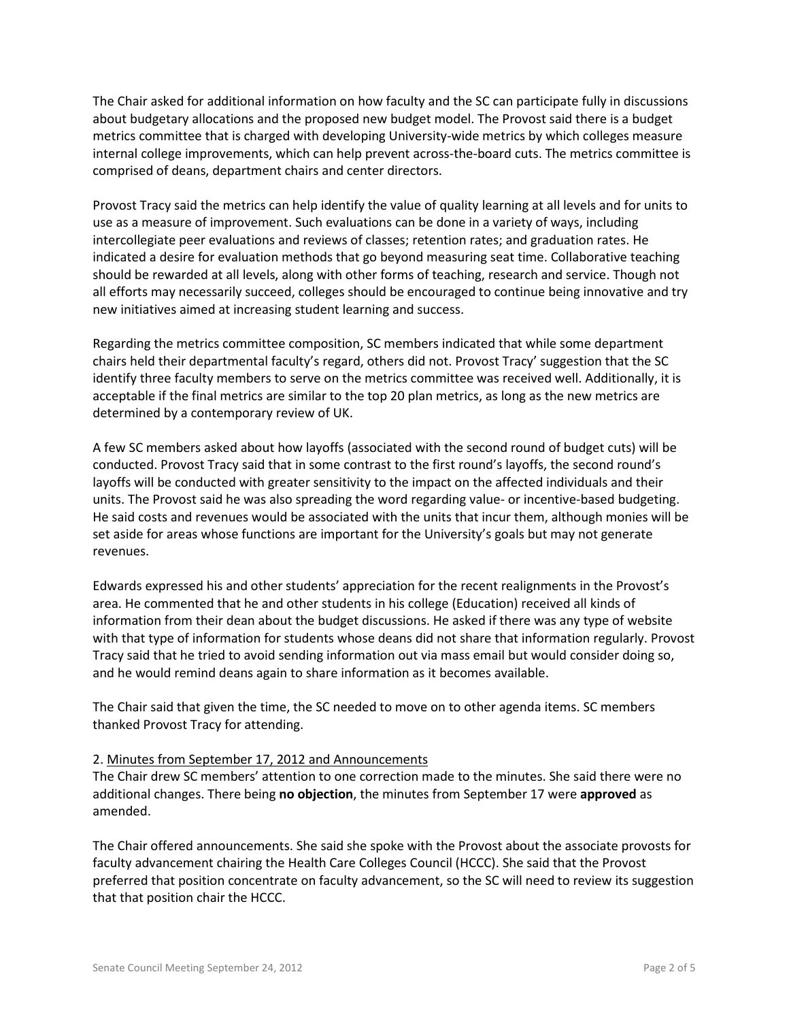The Chair asked for additional information on how faculty and the SC can participate fully in discussions about budgetary allocations and the proposed new budget model. The Provost said there is a budget metrics committee that is charged with developing University-wide metrics by which colleges measure internal college improvements, which can help prevent across-the-board cuts. The metrics committee is comprised of deans, department chairs and center directors.

Provost Tracy said the metrics can help identify the value of quality learning at all levels and for units to use as a measure of improvement. Such evaluations can be done in a variety of ways, including intercollegiate peer evaluations and reviews of classes; retention rates; and graduation rates. He indicated a desire for evaluation methods that go beyond measuring seat time. Collaborative teaching should be rewarded at all levels, along with other forms of teaching, research and service. Though not all efforts may necessarily succeed, colleges should be encouraged to continue being innovative and try new initiatives aimed at increasing student learning and success.

Regarding the metrics committee composition, SC members indicated that while some department chairs held their departmental faculty's regard, others did not. Provost Tracy' suggestion that the SC identify three faculty members to serve on the metrics committee was received well. Additionally, it is acceptable if the final metrics are similar to the top 20 plan metrics, as long as the new metrics are determined by a contemporary review of UK.

A few SC members asked about how layoffs (associated with the second round of budget cuts) will be conducted. Provost Tracy said that in some contrast to the first round's layoffs, the second round's layoffs will be conducted with greater sensitivity to the impact on the affected individuals and their units. The Provost said he was also spreading the word regarding value- or incentive-based budgeting. He said costs and revenues would be associated with the units that incur them, although monies will be set aside for areas whose functions are important for the University's goals but may not generate revenues.

Edwards expressed his and other students' appreciation for the recent realignments in the Provost's area. He commented that he and other students in his college (Education) received all kinds of information from their dean about the budget discussions. He asked if there was any type of website with that type of information for students whose deans did not share that information regularly. Provost Tracy said that he tried to avoid sending information out via mass email but would consider doing so, and he would remind deans again to share information as it becomes available.

The Chair said that given the time, the SC needed to move on to other agenda items. SC members thanked Provost Tracy for attending.

## 2. Minutes from September 17, 2012 and Announcements

The Chair drew SC members' attention to one correction made to the minutes. She said there were no additional changes. There being **no objection**, the minutes from September 17 were **approved** as amended.

The Chair offered announcements. She said she spoke with the Provost about the associate provosts for faculty advancement chairing the Health Care Colleges Council (HCCC). She said that the Provost preferred that position concentrate on faculty advancement, so the SC will need to review its suggestion that that position chair the HCCC.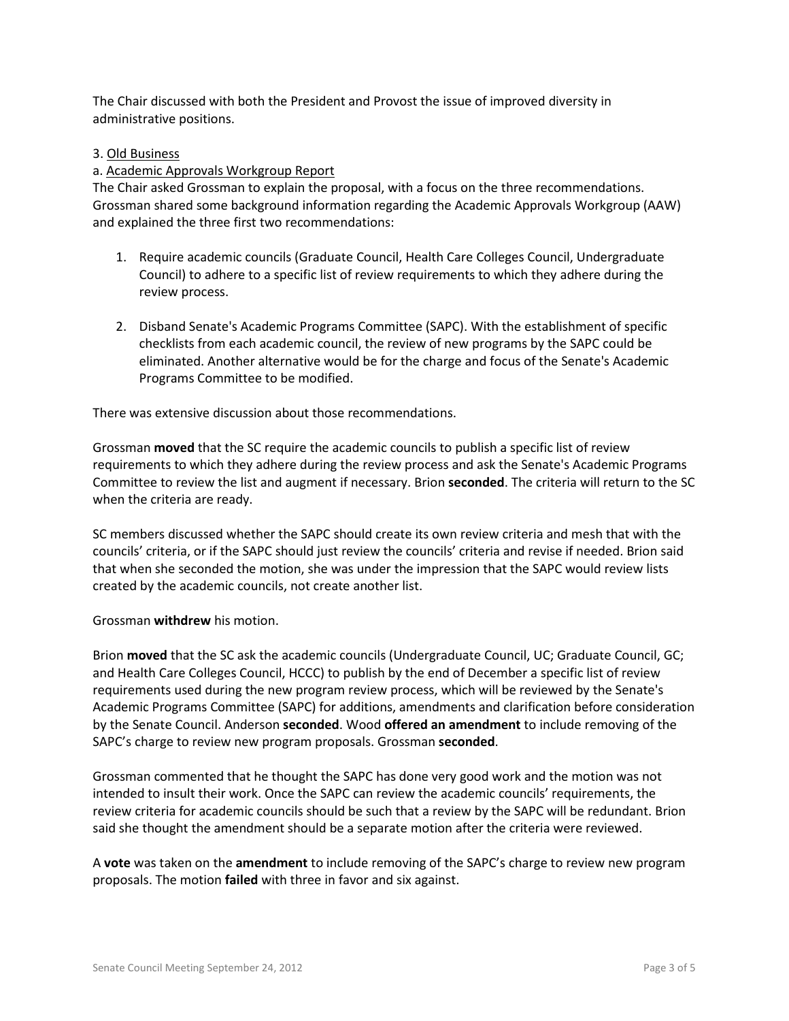The Chair discussed with both the President and Provost the issue of improved diversity in administrative positions.

### 3. Old Business

### a. Academic Approvals Workgroup Report

The Chair asked Grossman to explain the proposal, with a focus on the three recommendations. Grossman shared some background information regarding the Academic Approvals Workgroup (AAW) and explained the three first two recommendations:

- 1. Require academic councils (Graduate Council, Health Care Colleges Council, Undergraduate Council) to adhere to a specific list of review requirements to which they adhere during the review process.
- 2. Disband Senate's Academic Programs Committee (SAPC). With the establishment of specific checklists from each academic council, the review of new programs by the SAPC could be eliminated. Another alternative would be for the charge and focus of the Senate's Academic Programs Committee to be modified.

There was extensive discussion about those recommendations.

Grossman **moved** that the SC require the academic councils to publish a specific list of review requirements to which they adhere during the review process and ask the Senate's Academic Programs Committee to review the list and augment if necessary. Brion **seconded**. The criteria will return to the SC when the criteria are ready.

SC members discussed whether the SAPC should create its own review criteria and mesh that with the councils' criteria, or if the SAPC should just review the councils' criteria and revise if needed. Brion said that when she seconded the motion, she was under the impression that the SAPC would review lists created by the academic councils, not create another list.

Grossman **withdrew** his motion.

Brion **moved** that the SC ask the academic councils (Undergraduate Council, UC; Graduate Council, GC; and Health Care Colleges Council, HCCC) to publish by the end of December a specific list of review requirements used during the new program review process, which will be reviewed by the Senate's Academic Programs Committee (SAPC) for additions, amendments and clarification before consideration by the Senate Council. Anderson **seconded**. Wood **offered an amendment** to include removing of the SAPC's charge to review new program proposals. Grossman **seconded**.

Grossman commented that he thought the SAPC has done very good work and the motion was not intended to insult their work. Once the SAPC can review the academic councils' requirements, the review criteria for academic councils should be such that a review by the SAPC will be redundant. Brion said she thought the amendment should be a separate motion after the criteria were reviewed.

A **vote** was taken on the **amendment** to include removing of the SAPC's charge to review new program proposals. The motion **failed** with three in favor and six against.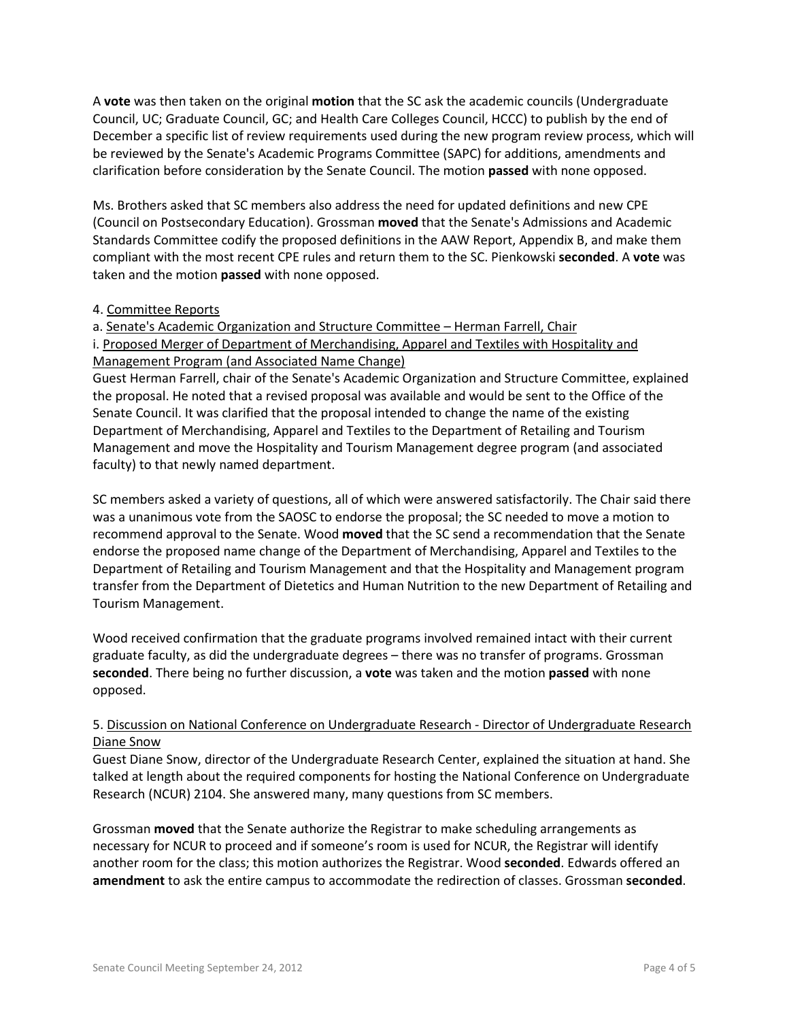A **vote** was then taken on the original **motion** that the SC ask the academic councils (Undergraduate Council, UC; Graduate Council, GC; and Health Care Colleges Council, HCCC) to publish by the end of December a specific list of review requirements used during the new program review process, which will be reviewed by the Senate's Academic Programs Committee (SAPC) for additions, amendments and clarification before consideration by the Senate Council. The motion **passed** with none opposed.

Ms. Brothers asked that SC members also address the need for updated definitions and new CPE (Council on Postsecondary Education). Grossman **moved** that the Senate's Admissions and Academic Standards Committee codify the proposed definitions in the AAW Report, Appendix B, and make them compliant with the most recent CPE rules and return them to the SC. Pienkowski **seconded**. A **vote** was taken and the motion **passed** with none opposed.

## 4. Committee Reports

a. Senate's Academic Organization and Structure Committee – Herman Farrell, Chair

i. Proposed Merger of Department of Merchandising, Apparel and Textiles with Hospitality and Management Program (and Associated Name Change)

Guest Herman Farrell, chair of the Senate's Academic Organization and Structure Committee, explained the proposal. He noted that a revised proposal was available and would be sent to the Office of the Senate Council. It was clarified that the proposal intended to change the name of the existing Department of Merchandising, Apparel and Textiles to the Department of Retailing and Tourism Management and move the Hospitality and Tourism Management degree program (and associated faculty) to that newly named department.

SC members asked a variety of questions, all of which were answered satisfactorily. The Chair said there was a unanimous vote from the SAOSC to endorse the proposal; the SC needed to move a motion to recommend approval to the Senate. Wood **moved** that the SC send a recommendation that the Senate endorse the proposed name change of the Department of Merchandising, Apparel and Textiles to the Department of Retailing and Tourism Management and that the Hospitality and Management program transfer from the Department of Dietetics and Human Nutrition to the new Department of Retailing and Tourism Management.

Wood received confirmation that the graduate programs involved remained intact with their current graduate faculty, as did the undergraduate degrees – there was no transfer of programs. Grossman **seconded**. There being no further discussion, a **vote** was taken and the motion **passed** with none opposed.

# 5. Discussion on National Conference on Undergraduate Research - Director of Undergraduate Research Diane Snow

Guest Diane Snow, director of the Undergraduate Research Center, explained the situation at hand. She talked at length about the required components for hosting the National Conference on Undergraduate Research (NCUR) 2104. She answered many, many questions from SC members.

Grossman **moved** that the Senate authorize the Registrar to make scheduling arrangements as necessary for NCUR to proceed and if someone's room is used for NCUR, the Registrar will identify another room for the class; this motion authorizes the Registrar. Wood **seconded**. Edwards offered an **amendment** to ask the entire campus to accommodate the redirection of classes. Grossman **seconded**.